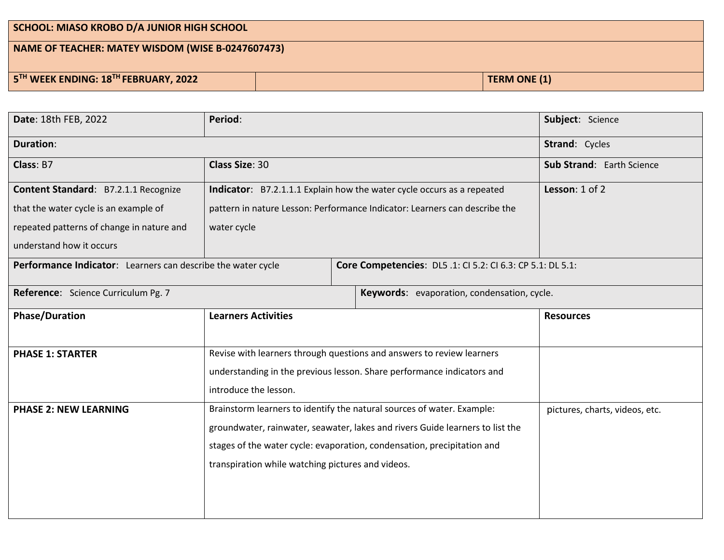| SCHOOL: MIASO KROBO D/A JUNIOR HIGH SCHOOL                   |  |                     |  |  |  |
|--------------------------------------------------------------|--|---------------------|--|--|--|
| NAME OF TEACHER: MATEY WISDOM (WISE B-0247607473)            |  |                     |  |  |  |
| 5 <sup>TH</sup> WEEK ENDING: 18 <sup>TH</sup> FEBRUARY, 2022 |  | <b>TERM ONE (1)</b> |  |  |  |

| <b>Duration:</b><br><b>Strand: Cycles</b><br>Class: B7<br><b>Class Size: 30</b><br>Sub Strand: Earth Science<br>Lesson: 1 of 2<br><b>Content Standard: B7.2.1.1 Recognize</b><br>Indicator: B7.2.1.1.1 Explain how the water cycle occurs as a repeated<br>pattern in nature Lesson: Performance Indicator: Learners can describe the<br>that the water cycle is an example of<br>repeated patterns of change in nature and<br>water cycle<br>understand how it occurs<br>Performance Indicator: Learners can describe the water cycle<br>Core Competencies: DL5.1: CI 5.2: CI 6.3: CP 5.1: DL 5.1:<br>Reference: Science Curriculum Pg. 7<br>Keywords: evaporation, condensation, cycle.<br><b>Phase/Duration</b><br><b>Learners Activities</b><br><b>Resources</b><br>Revise with learners through questions and answers to review learners<br><b>PHASE 1: STARTER</b><br>understanding in the previous lesson. Share performance indicators and<br>introduce the lesson. | Date: 18th FEB, 2022 | Period: |  |  | Subject: Science |
|-----------------------------------------------------------------------------------------------------------------------------------------------------------------------------------------------------------------------------------------------------------------------------------------------------------------------------------------------------------------------------------------------------------------------------------------------------------------------------------------------------------------------------------------------------------------------------------------------------------------------------------------------------------------------------------------------------------------------------------------------------------------------------------------------------------------------------------------------------------------------------------------------------------------------------------------------------------------------------|----------------------|---------|--|--|------------------|
|                                                                                                                                                                                                                                                                                                                                                                                                                                                                                                                                                                                                                                                                                                                                                                                                                                                                                                                                                                             |                      |         |  |  |                  |
|                                                                                                                                                                                                                                                                                                                                                                                                                                                                                                                                                                                                                                                                                                                                                                                                                                                                                                                                                                             |                      |         |  |  |                  |
|                                                                                                                                                                                                                                                                                                                                                                                                                                                                                                                                                                                                                                                                                                                                                                                                                                                                                                                                                                             |                      |         |  |  |                  |
|                                                                                                                                                                                                                                                                                                                                                                                                                                                                                                                                                                                                                                                                                                                                                                                                                                                                                                                                                                             |                      |         |  |  |                  |
|                                                                                                                                                                                                                                                                                                                                                                                                                                                                                                                                                                                                                                                                                                                                                                                                                                                                                                                                                                             |                      |         |  |  |                  |
|                                                                                                                                                                                                                                                                                                                                                                                                                                                                                                                                                                                                                                                                                                                                                                                                                                                                                                                                                                             |                      |         |  |  |                  |
|                                                                                                                                                                                                                                                                                                                                                                                                                                                                                                                                                                                                                                                                                                                                                                                                                                                                                                                                                                             |                      |         |  |  |                  |
|                                                                                                                                                                                                                                                                                                                                                                                                                                                                                                                                                                                                                                                                                                                                                                                                                                                                                                                                                                             |                      |         |  |  |                  |
|                                                                                                                                                                                                                                                                                                                                                                                                                                                                                                                                                                                                                                                                                                                                                                                                                                                                                                                                                                             |                      |         |  |  |                  |
|                                                                                                                                                                                                                                                                                                                                                                                                                                                                                                                                                                                                                                                                                                                                                                                                                                                                                                                                                                             |                      |         |  |  |                  |
|                                                                                                                                                                                                                                                                                                                                                                                                                                                                                                                                                                                                                                                                                                                                                                                                                                                                                                                                                                             |                      |         |  |  |                  |
|                                                                                                                                                                                                                                                                                                                                                                                                                                                                                                                                                                                                                                                                                                                                                                                                                                                                                                                                                                             |                      |         |  |  |                  |
|                                                                                                                                                                                                                                                                                                                                                                                                                                                                                                                                                                                                                                                                                                                                                                                                                                                                                                                                                                             |                      |         |  |  |                  |
| Brainstorm learners to identify the natural sources of water. Example:<br><b>PHASE 2: NEW LEARNING</b><br>pictures, charts, videos, etc.                                                                                                                                                                                                                                                                                                                                                                                                                                                                                                                                                                                                                                                                                                                                                                                                                                    |                      |         |  |  |                  |
| groundwater, rainwater, seawater, lakes and rivers Guide learners to list the                                                                                                                                                                                                                                                                                                                                                                                                                                                                                                                                                                                                                                                                                                                                                                                                                                                                                               |                      |         |  |  |                  |
| stages of the water cycle: evaporation, condensation, precipitation and                                                                                                                                                                                                                                                                                                                                                                                                                                                                                                                                                                                                                                                                                                                                                                                                                                                                                                     |                      |         |  |  |                  |
| transpiration while watching pictures and videos.                                                                                                                                                                                                                                                                                                                                                                                                                                                                                                                                                                                                                                                                                                                                                                                                                                                                                                                           |                      |         |  |  |                  |
|                                                                                                                                                                                                                                                                                                                                                                                                                                                                                                                                                                                                                                                                                                                                                                                                                                                                                                                                                                             |                      |         |  |  |                  |
|                                                                                                                                                                                                                                                                                                                                                                                                                                                                                                                                                                                                                                                                                                                                                                                                                                                                                                                                                                             |                      |         |  |  |                  |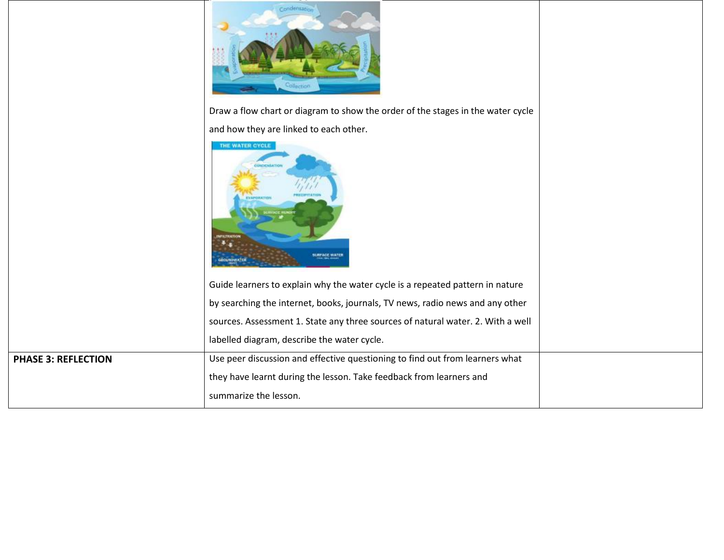|                            | Condensation                                                                    |  |
|----------------------------|---------------------------------------------------------------------------------|--|
|                            | Draw a flow chart or diagram to show the order of the stages in the water cycle |  |
|                            | and how they are linked to each other.                                          |  |
|                            | THE WATER CYCLE<br>$+$<br><b>SURFACE WATER</b><br><b>GECUNDWATER</b>            |  |
|                            | Guide learners to explain why the water cycle is a repeated pattern in nature   |  |
|                            | by searching the internet, books, journals, TV news, radio news and any other   |  |
|                            | sources. Assessment 1. State any three sources of natural water. 2. With a well |  |
|                            | labelled diagram, describe the water cycle.                                     |  |
| <b>PHASE 3: REFLECTION</b> | Use peer discussion and effective questioning to find out from learners what    |  |
|                            | they have learnt during the lesson. Take feedback from learners and             |  |
|                            | summarize the lesson.                                                           |  |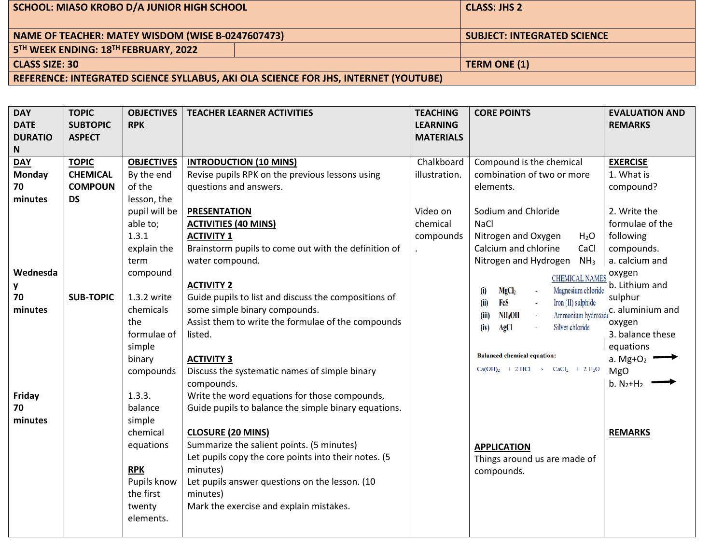| SCHOOL: MIASO KROBO D/A JUNIOR HIGH SCHOOL                                          |  | <b>CLASS: JHS 2</b>                |  |
|-------------------------------------------------------------------------------------|--|------------------------------------|--|
|                                                                                     |  |                                    |  |
| NAME OF TEACHER: MATEY WISDOM (WISE B-0247607473)                                   |  | <b>SUBJECT: INTEGRATED SCIENCE</b> |  |
| 5TH WEEK ENDING: 18TH FEBRUARY, 2022                                                |  |                                    |  |
| <b>CLASS SIZE: 30</b>                                                               |  | TERM ONE (1)                       |  |
| REFERENCE: INTEGRATED SCIENCE SYLLABUS, AKI OLA SCIENCE FOR JHS, INTERNET (YOUTUBE) |  |                                    |  |

| <b>DAY</b>     | <b>TOPIC</b>     | <b>OBJECTIVES</b> | <b>TEACHER LEARNER ACTIVITIES</b>                    | <b>TEACHING</b>  | <b>CORE POINTS</b>                                           | <b>EVALUATION AND</b>                                                     |
|----------------|------------------|-------------------|------------------------------------------------------|------------------|--------------------------------------------------------------|---------------------------------------------------------------------------|
| <b>DATE</b>    | <b>SUBTOPIC</b>  | <b>RPK</b>        |                                                      | <b>LEARNING</b>  |                                                              | <b>REMARKS</b>                                                            |
| <b>DURATIO</b> | <b>ASPECT</b>    |                   |                                                      | <b>MATERIALS</b> |                                                              |                                                                           |
| N              |                  |                   |                                                      |                  |                                                              |                                                                           |
| <b>DAY</b>     | <b>TOPIC</b>     | <b>OBJECTIVES</b> | <b>INTRODUCTION (10 MINS)</b>                        | Chalkboard       | Compound is the chemical                                     | <b>EXERCISE</b>                                                           |
| <b>Monday</b>  | <b>CHEMICAL</b>  | By the end        | Revise pupils RPK on the previous lessons using      | illustration.    | combination of two or more                                   | 1. What is                                                                |
| 70             | <b>COMPOUN</b>   | of the            | questions and answers.                               |                  | elements.                                                    | compound?                                                                 |
| minutes        | <b>DS</b>        | lesson, the       |                                                      |                  |                                                              |                                                                           |
|                |                  | pupil will be     | <b>PRESENTATION</b>                                  | Video on         | Sodium and Chloride                                          | 2. Write the                                                              |
|                |                  | able to;          | <b>ACTIVITIES (40 MINS)</b>                          | chemical         | <b>NaCl</b>                                                  | formulae of the                                                           |
|                |                  | 1.3.1             | <b>ACTIVITY 1</b>                                    | compounds        | Nitrogen and Oxygen<br>$H_2O$                                | following                                                                 |
|                |                  | explain the       | Brainstorm pupils to come out with the definition of |                  | Calcium and chlorine<br>CaCl                                 | compounds.                                                                |
|                |                  | term              | water compound.                                      |                  | Nitrogen and Hydrogen<br>NH <sub>3</sub>                     | a. calcium and                                                            |
| Wednesda       |                  | compound          |                                                      |                  | <b>CHEMICAL NAMES</b>                                        | oxygen                                                                    |
| y              |                  |                   | <b>ACTIVITY 2</b>                                    |                  | Magnesium chloride<br>MgCl <sub>2</sub><br>(i)               | b. Lithium and                                                            |
| 70             | <b>SUB-TOPIC</b> | 1.3.2 write       | Guide pupils to list and discuss the compositions of |                  | FeS<br>Iron (II) sulphide<br>(ii)                            | sulphur                                                                   |
| minutes        |                  | chemicals         | some simple binary compounds.                        |                  | (iii)<br>NH <sub>4</sub> OH                                  | $\textit{Ammonium hydroxide} \textbf{C.} \textit{aluminium} \textit{and}$ |
|                |                  | the               | Assist them to write the formulae of the compounds   |                  | Silver chloride<br>AgCl<br>(iv)                              | oxygen                                                                    |
|                |                  | formulae of       | listed.                                              |                  |                                                              | 3. balance these                                                          |
|                |                  | simple            |                                                      |                  |                                                              | equations                                                                 |
|                |                  | binary            | <b>ACTIVITY 3</b>                                    |                  | <b>Balanced chemical equation:</b>                           | a. Mg+O <sub>2</sub> $\longrightarrow$                                    |
|                |                  | compounds         | Discuss the systematic names of simple binary        |                  | $Ca(OH)2$ + 2 HCl $\rightarrow$ $CaCl2$ + 2 H <sub>2</sub> O | <b>MgO</b>                                                                |
|                |                  |                   | compounds.                                           |                  |                                                              | $b. N_2 + H_2$                                                            |
| Friday         |                  | 1.3.3.            | Write the word equations for those compounds,        |                  |                                                              |                                                                           |
| 70             |                  | balance           | Guide pupils to balance the simple binary equations. |                  |                                                              |                                                                           |
| minutes        |                  | simple            |                                                      |                  |                                                              |                                                                           |
|                |                  | chemical          | <b>CLOSURE (20 MINS)</b>                             |                  |                                                              | <b>REMARKS</b>                                                            |
|                |                  | equations         | Summarize the salient points. (5 minutes)            |                  | <b>APPLICATION</b>                                           |                                                                           |
|                |                  |                   | Let pupils copy the core points into their notes. (5 |                  | Things around us are made of                                 |                                                                           |
|                |                  | <b>RPK</b>        | minutes)                                             |                  | compounds.                                                   |                                                                           |
|                |                  | Pupils know       | Let pupils answer questions on the lesson. (10       |                  |                                                              |                                                                           |
|                |                  | the first         | minutes)                                             |                  |                                                              |                                                                           |
|                |                  | twenty            | Mark the exercise and explain mistakes.              |                  |                                                              |                                                                           |
|                |                  | elements.         |                                                      |                  |                                                              |                                                                           |
|                |                  |                   |                                                      |                  |                                                              |                                                                           |